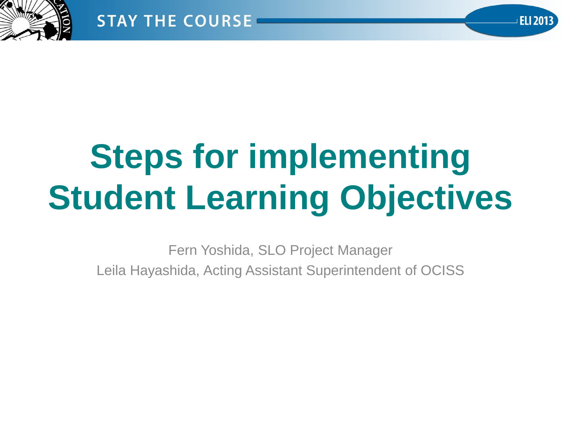

# **Steps for implementing Student Learning Objectives**

Fern Yoshida, SLO Project Manager Leila Hayashida, Acting Assistant Superintendent of OCISS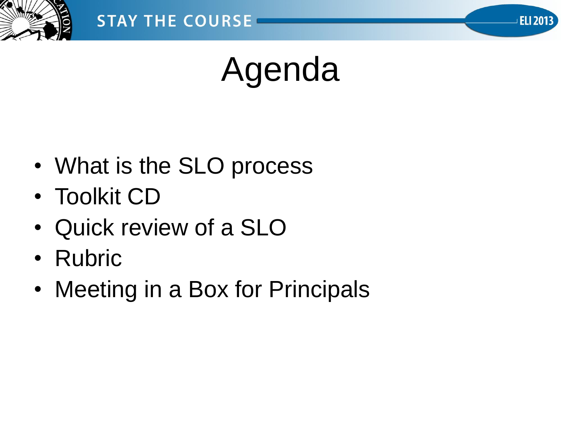



# Agenda

- What is the SLO process
- Toolkit CD
- Quick review of a SLO
- Rubric
- Meeting in a Box for Principals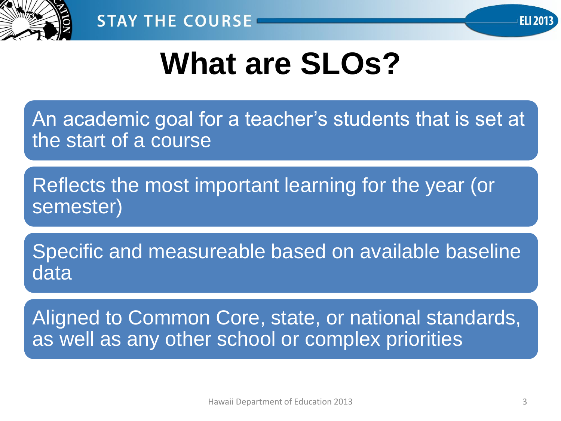



### **What are SLOs?**

An academic goal for a teacher's students that is set at the start of a course

Reflects the most important learning for the year (or semester)

Specific and measureable based on available baseline data

Aligned to Common Core, state, or national standards, as well as any other school or complex priorities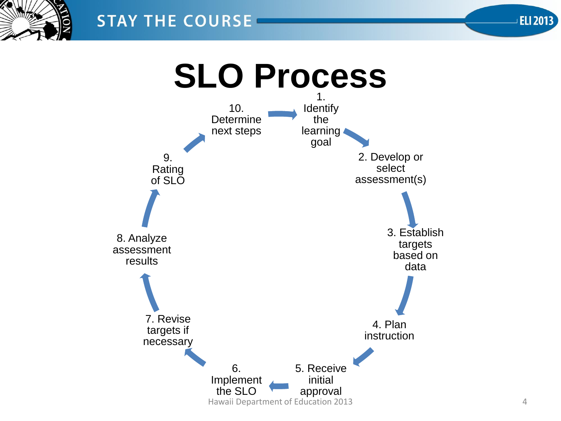

#### **STAY THE COURSE**

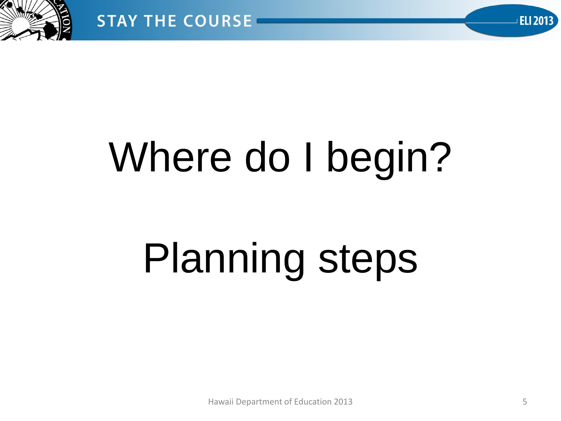

# Where do I begin?

# Planning steps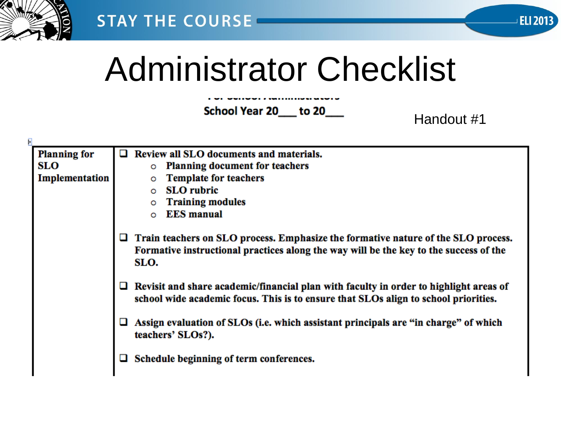



## Administrator Checklist

School Year 20 to 20

Handout #1

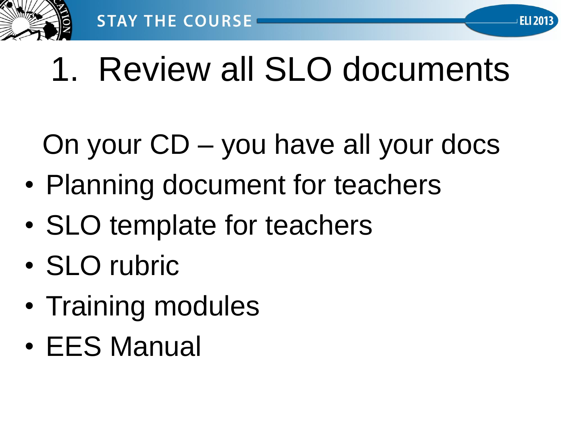

# 1. Review all SLO documents

**ELI 2013** 

On your CD – you have all your docs

- Planning document for teachers
- SLO template for teachers
- SLO rubric
- Training modules
- EES Manual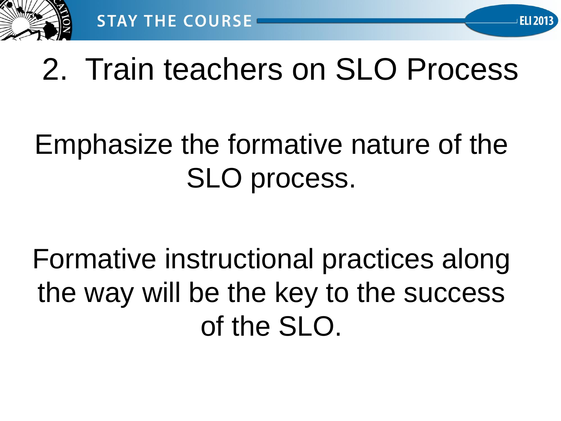

### 2. Train teachers on SLO Process

### Emphasize the formative nature of the SLO process.

Formative instructional practices along the way will be the key to the success of the SLO.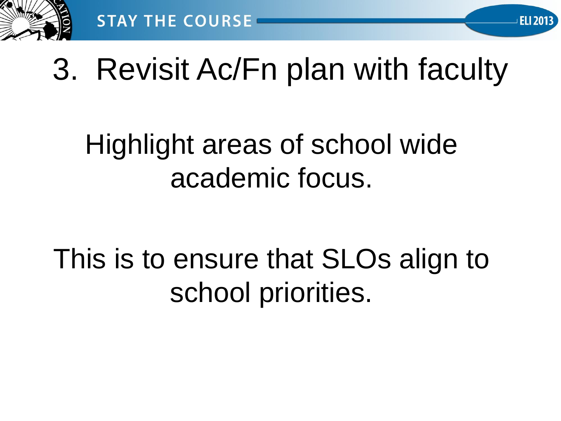

### 3. Revisit Ac/Fn plan with faculty

**ELI 2013** 

### Highlight areas of school wide academic focus.

This is to ensure that SLOs align to school priorities.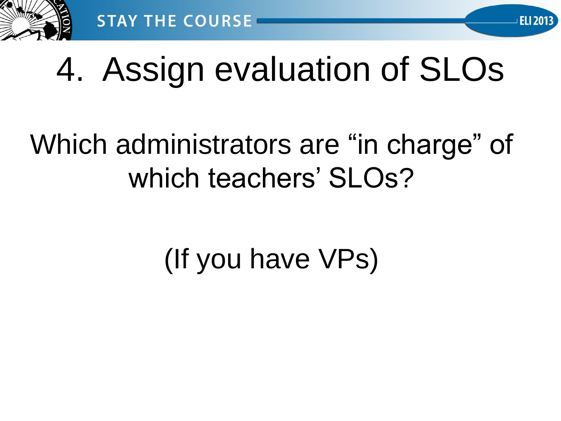

## 4. Assign evaluation of SLOs

**ELI 2013** 

### Which administrators are "in charge" of which teachers' SLOs?

### (If you have VPs)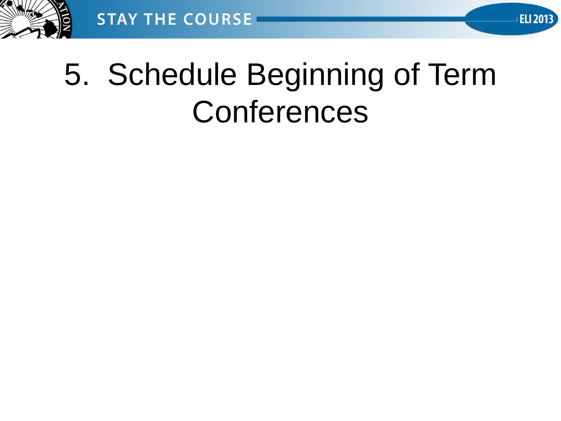

### 5. Schedule Beginning of Term **Conferences**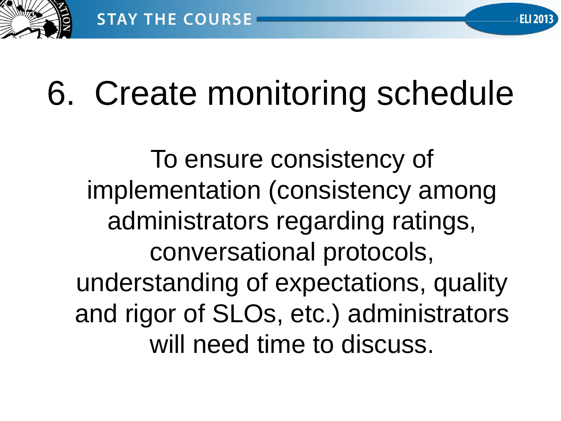

# 6. Create monitoring schedule

**ELI 2013** 

To ensure consistency of implementation (consistency among administrators regarding ratings, conversational protocols, understanding of expectations, quality and rigor of SLOs, etc.) administrators will need time to discuss.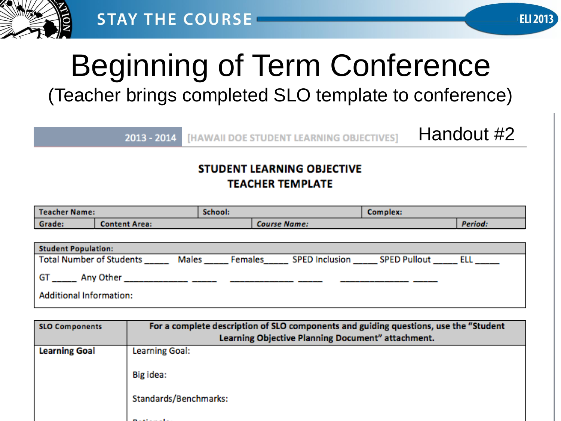



## Beginning of Term Conference

(Teacher brings completed SLO template to conference)

 $2013 - 2014$ 

**IHAWAII DOE STUDENT LEARNING OBJECTIVES1** 

Handout #2

#### **STUDENT LEARNING OBJECTIVE TEACHER TEMPLATE**

| <b>Teacher Name:</b>            |                      | School: |                                    | Complex: |         |  |
|---------------------------------|----------------------|---------|------------------------------------|----------|---------|--|
| Grade:                          | <b>Content Area:</b> |         | <b>Course Name:</b>                |          | Period: |  |
|                                 |                      |         |                                    |          |         |  |
| <b>Student Population:</b>      |                      |         |                                    |          |         |  |
| <b>Total Number of Students</b> | Males                | Females | <b>SPED Inclusion SPED Pullout</b> |          | ELL     |  |
| GT _______ Any Other            |                      |         |                                    |          |         |  |
| <b>Additional Information:</b>  |                      |         |                                    |          |         |  |

| <b>SLO Components</b> | For a complete description of SLO components and guiding questions, use the "Student<br>Learning Objective Planning Document" attachment. |
|-----------------------|-------------------------------------------------------------------------------------------------------------------------------------------|
| <b>Learning Goal</b>  | <b>Learning Goal:</b>                                                                                                                     |
|                       | Big idea:                                                                                                                                 |
|                       | Standards/Benchmarks:                                                                                                                     |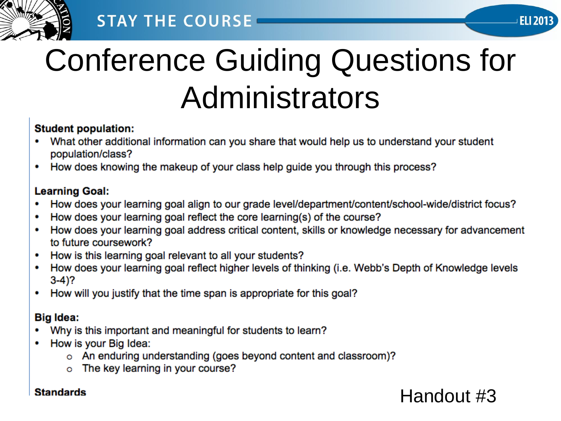

#### **STAY THE COURSE**

## Conference Guiding Questions for Administrators

#### **Student population:**

- What other additional information can you share that would help us to understand your student population/class?
- How does knowing the makeup of your class help guide you through this process?  $\bullet$

#### **Learning Goal:**

- How does your learning goal align to our grade level/department/content/school-wide/district focus?
- How does your learning goal reflect the core learning(s) of the course?
- How does your learning goal address critical content, skills or knowledge necessary for advancement to future coursework?
- How is this learning goal relevant to all your students?
- How does your learning goal reflect higher levels of thinking (i.e. Webb's Depth of Knowledge levels  $3-4$ ?
- How will you justify that the time span is appropriate for this goal?

#### **Big Idea:**

- Why is this important and meaningful for students to learn?
- How is your Big Idea:
	- o An enduring understanding (goes beyond content and classroom)?
	- o The key learning in your course?

#### **Standards**

#### Handout #3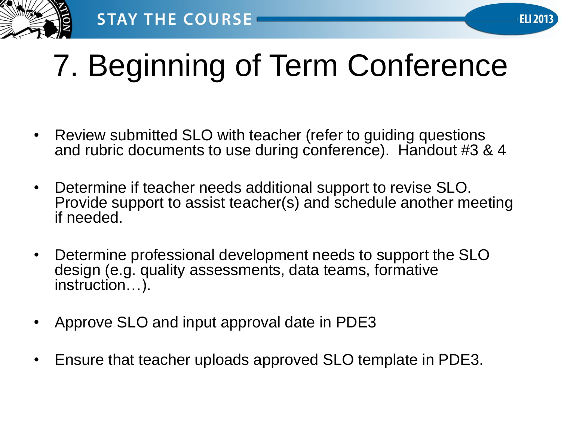

## 7. Beginning of Term Conference

- Review submitted SLO with teacher (refer to guiding questions and rubric documents to use during conference). Handout #3 & 4
- Determine if teacher needs additional support to revise SLO. Provide support to assist teacher(s) and schedule another meeting if needed.
- Determine professional development needs to support the SLO design (e.g. quality assessments, data teams, formative instruction…).
- Approve SLO and input approval date in PDE3
- Ensure that teacher uploads approved SLO template in PDE3.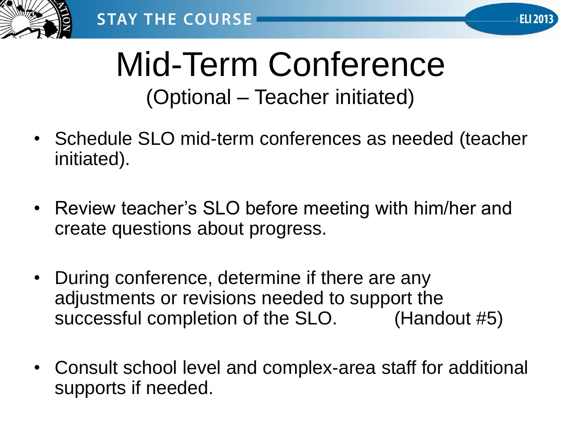



### Mid-Term Conference (Optional – Teacher initiated)

- Schedule SLO mid-term conferences as needed (teacher initiated).
- Review teacher's SLO before meeting with him/her and create questions about progress.
- During conference, determine if there are any adjustments or revisions needed to support the successful completion of the SLO. (Handout #5)
- Consult school level and complex-area staff for additional supports if needed.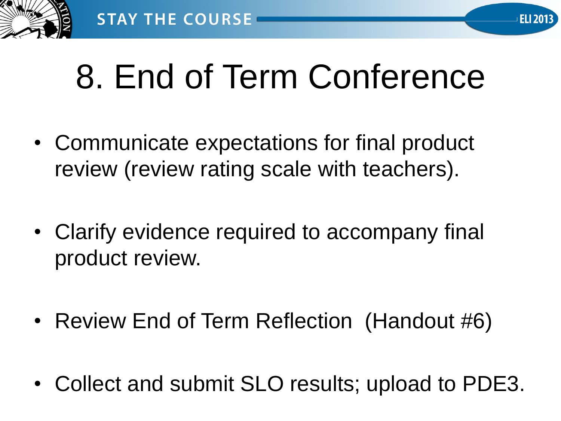

# 8. End of Term Conference

- Communicate expectations for final product review (review rating scale with teachers).
- Clarify evidence required to accompany final product review.
- Review End of Term Reflection (Handout #6)
- Collect and submit SLO results; upload to PDE3.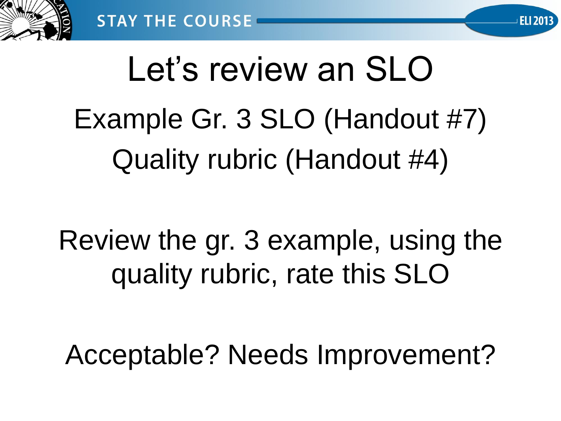

# Let's review an SLO Example Gr. 3 SLO (Handout #7) Quality rubric (Handout #4)

Review the gr. 3 example, using the quality rubric, rate this SLO

Acceptable? Needs Improvement?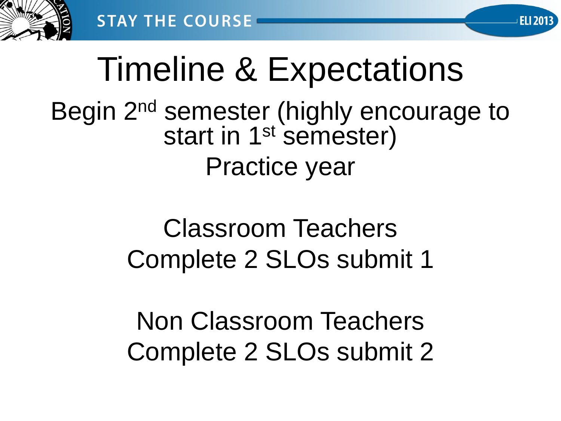

# Timeline & Expectations

**ELI 2013** 

#### Begin 2<sup>nd</sup> semester (highly encourage to start in 1<sup>st</sup> semester) Practice year

#### Classroom Teachers Complete 2 SLOs submit 1

Non Classroom Teachers Complete 2 SLOs submit 2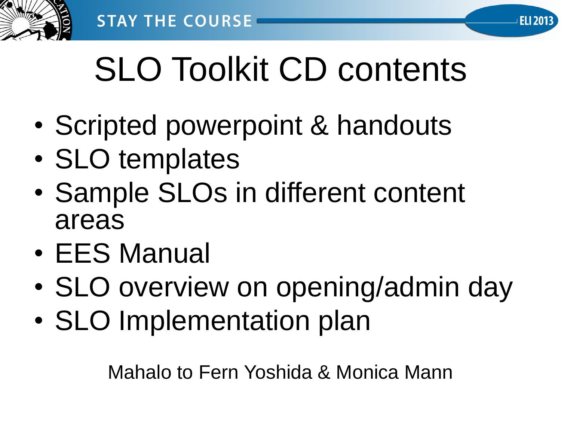

# SLO Toolkit CD contents

- Scripted powerpoint & handouts
- SLO templates
- Sample SLOs in different content areas
- EES Manual
- SLO overview on opening/admin day
- SLO Implementation plan

Mahalo to Fern Yoshida & Monica Mann